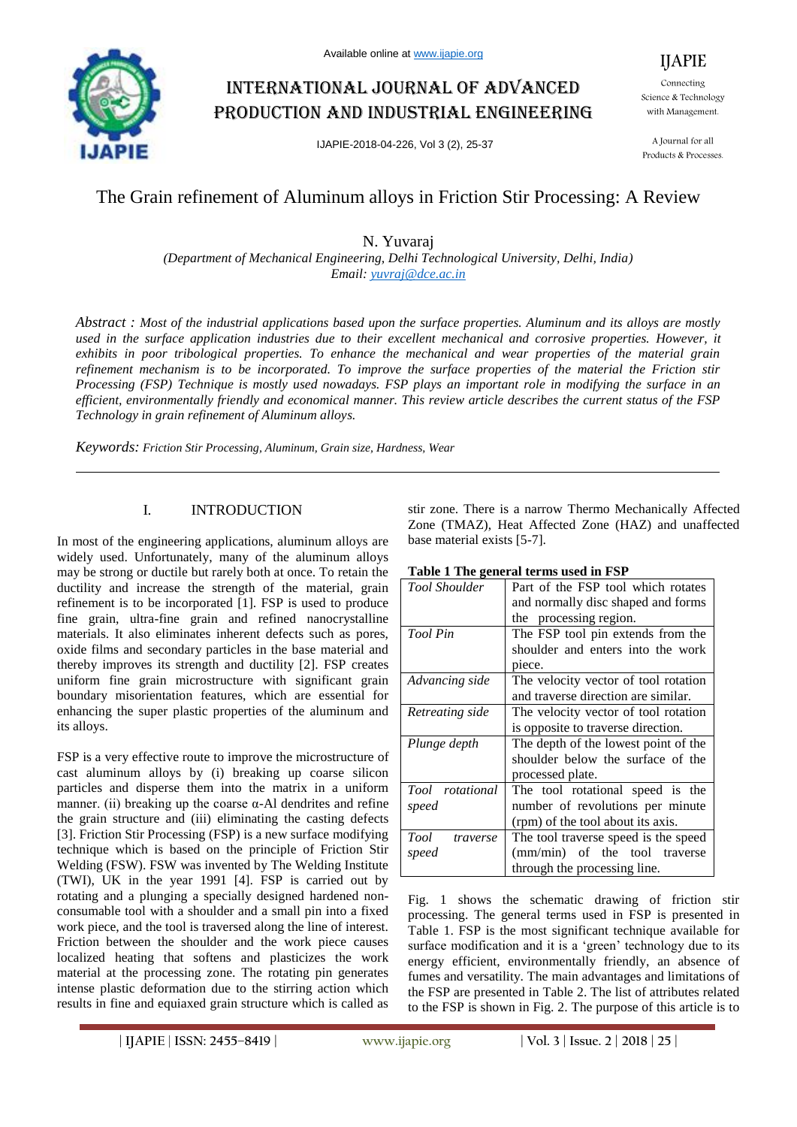

# International journal of advanced production and industrial engineering

IJAPIE-2018-04-226, Vol 3 (2), 25-37

Connecting Science & Technology with Management.

IJAPIE

A Journal for all Products & Processes.

## The Grain refinement of Aluminum alloys in Friction Stir Processing: A Review

N. Yuvaraj

*(Department of Mechanical Engineering, Delhi Technological University, Delhi, India) Email: yuvraj@dce.ac.in*

*Abstract : Most of the industrial applications based upon the surface properties. Aluminum and its alloys are mostly used in the surface application industries due to their excellent mechanical and corrosive properties. However, it exhibits in poor tribological properties. To enhance the mechanical and wear properties of the material grain refinement mechanism is to be incorporated. To improve the surface properties of the material the Friction stir Processing (FSP) Technique is mostly used nowadays. FSP plays an important role in modifying the surface in an efficient, environmentally friendly and economical manner. This review article describes the current status of the FSP Technology in grain refinement of Aluminum alloys.*

*Keywords: Friction Stir Processing, Aluminum, Grain size, Hardness, Wear*

## I. INTRODUCTION

In most of the engineering applications, aluminum alloys are widely used. Unfortunately, many of the aluminum alloys may be strong or ductile but rarely both at once. To retain the ductility and increase the strength of the material, grain refinement is to be incorporated [1]. FSP is used to produce fine grain, ultra-fine grain and refined nanocrystalline materials. It also eliminates inherent defects such as pores, oxide films and secondary particles in the base material and thereby improves its strength and ductility [2]. FSP creates uniform fine grain microstructure with significant grain boundary misorientation features, which are essential for enhancing the super plastic properties of the aluminum and its alloys.

FSP is a very effective route to improve the microstructure of cast aluminum alloys by (i) breaking up coarse silicon particles and disperse them into the matrix in a uniform manner. (ii) breaking up the coarse  $\alpha$ -Al dendrites and refine the grain structure and (iii) eliminating the casting defects [3]. Friction Stir Processing (FSP) is a new surface modifying technique which is based on the principle of Friction Stir Welding (FSW). FSW was invented by The Welding Institute (TWI), UK in the year 1991 [4]. FSP is carried out by rotating and a plunging a specially designed hardened nonconsumable tool with a shoulder and a small pin into a fixed work piece, and the tool is traversed along the line of interest. Friction between the shoulder and the work piece causes localized heating that softens and plasticizes the work material at the processing zone. The rotating pin generates intense plastic deformation due to the stirring action which results in fine and equiaxed grain structure which is called as

stir zone. There is a narrow Thermo Mechanically Affected Zone (TMAZ), Heat Affected Zone (HAZ) and unaffected base material exists [5-7].

|  | Table 1 The general terms used in FSP |  |  |  |  |
|--|---------------------------------------|--|--|--|--|
|--|---------------------------------------|--|--|--|--|

| <b>Tool Shoulder</b> | Part of the FSP tool which rotates   |  |  |  |  |
|----------------------|--------------------------------------|--|--|--|--|
|                      | and normally disc shaped and forms   |  |  |  |  |
|                      | processing region.<br>the            |  |  |  |  |
| Tool Pin             | The FSP tool pin extends from the    |  |  |  |  |
|                      | shoulder and enters into the work    |  |  |  |  |
|                      | piece.                               |  |  |  |  |
| Advancing side       | The velocity vector of tool rotation |  |  |  |  |
|                      | and traverse direction are similar.  |  |  |  |  |
| Retreating side      | The velocity vector of tool rotation |  |  |  |  |
|                      | is opposite to traverse direction.   |  |  |  |  |
| Plunge depth         | The depth of the lowest point of the |  |  |  |  |
|                      | shoulder below the surface of the    |  |  |  |  |
|                      | processed plate.                     |  |  |  |  |
| Tool rotational      | The tool rotational speed is the     |  |  |  |  |
| speed                | number of revolutions per minute     |  |  |  |  |
|                      | (rpm) of the tool about its axis.    |  |  |  |  |
| Tool<br>traverse     | The tool traverse speed is the speed |  |  |  |  |
| speed                | (mm/min) of the tool traverse        |  |  |  |  |
|                      | through the processing line.         |  |  |  |  |

Fig. 1 shows the schematic drawing of friction stir processing. The general terms used in FSP is presented in Table 1. FSP is the most significant technique available for surface modification and it is a 'green' technology due to its energy efficient, environmentally friendly, an absence of fumes and versatility. The main advantages and limitations of the FSP are presented in Table 2. The list of attributes related to the FSP is shown in Fig. 2. The purpose of this article is to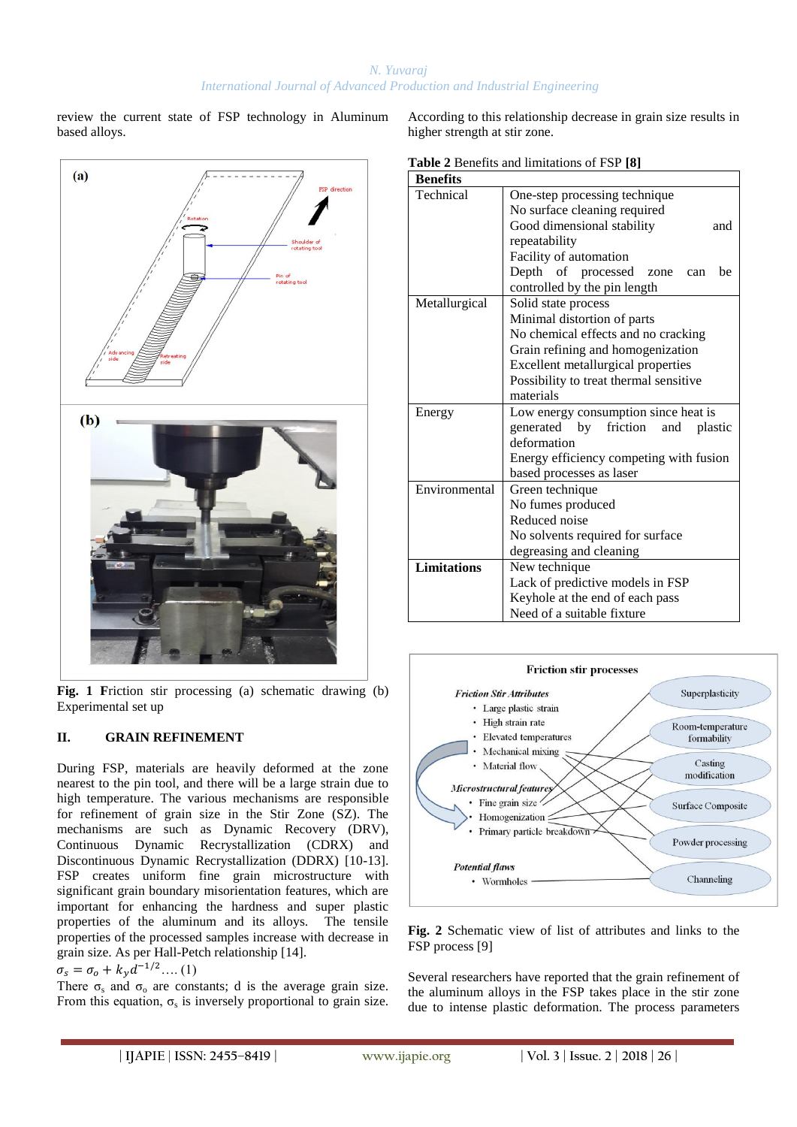review the current state of FSP technology in Aluminum based alloys.



**Fig. 1 F**riction stir processing (a) schematic drawing (b) Experimental set up

## **II. GRAIN REFINEMENT**

During FSP, materials are heavily deformed at the zone nearest to the pin tool, and there will be a large strain due to high temperature. The various mechanisms are responsible for refinement of grain size in the Stir Zone (SZ). The mechanisms are such as Dynamic Recovery (DRV), Continuous Dynamic Recrystallization (CDRX) and Discontinuous Dynamic Recrystallization (DDRX) [10-13]. FSP creates uniform fine grain microstructure with significant grain boundary misorientation features, which are important for enhancing the hardness and super plastic properties of the aluminum and its alloys. The tensile properties of the processed samples increase with decrease in grain size. As per Hall-Petch relationship [14].

 $\sigma_s = \sigma_o + k_v d^{-1/2}$ .... (1)

There  $\sigma_s$  and  $\sigma_o$  are constants; d is the average grain size. From this equation,  $\sigma_s$  is inversely proportional to grain size. According to this relationship decrease in grain size results in higher strength at stir zone.

**Table 2** Benefits and limitations of FSP **[8]** 

| <b>Benefits</b>    |                                         |  |  |  |  |  |
|--------------------|-----------------------------------------|--|--|--|--|--|
| Technical          | One-step processing technique           |  |  |  |  |  |
|                    | No surface cleaning required            |  |  |  |  |  |
|                    | Good dimensional stability<br>and       |  |  |  |  |  |
|                    | repeatability                           |  |  |  |  |  |
|                    | Facility of automation                  |  |  |  |  |  |
|                    | Depth of processed<br>be<br>zone<br>can |  |  |  |  |  |
|                    | controlled by the pin length            |  |  |  |  |  |
| Metallurgical      | Solid state process                     |  |  |  |  |  |
|                    | Minimal distortion of parts             |  |  |  |  |  |
|                    | No chemical effects and no cracking     |  |  |  |  |  |
|                    | Grain refining and homogenization       |  |  |  |  |  |
|                    | Excellent metallurgical properties      |  |  |  |  |  |
|                    | Possibility to treat thermal sensitive  |  |  |  |  |  |
|                    | materials                               |  |  |  |  |  |
| Energy             | Low energy consumption since heat is    |  |  |  |  |  |
|                    | generated by friction<br>and<br>plastic |  |  |  |  |  |
|                    | deformation                             |  |  |  |  |  |
|                    | Energy efficiency competing with fusion |  |  |  |  |  |
|                    | based processes as laser                |  |  |  |  |  |
| Environmental      | Green technique                         |  |  |  |  |  |
|                    | No fumes produced                       |  |  |  |  |  |
|                    | Reduced noise                           |  |  |  |  |  |
|                    | No solvents required for surface        |  |  |  |  |  |
|                    | degreasing and cleaning                 |  |  |  |  |  |
| <b>Limitations</b> | New technique                           |  |  |  |  |  |
|                    | Lack of predictive models in FSP        |  |  |  |  |  |
|                    | Keyhole at the end of each pass         |  |  |  |  |  |
|                    | Need of a suitable fixture              |  |  |  |  |  |



**Fig. 2** Schematic view of list of attributes and links to the FSP process [9]

Several researchers have reported that the grain refinement of the aluminum alloys in the FSP takes place in the stir zone due to intense plastic deformation. The process parameters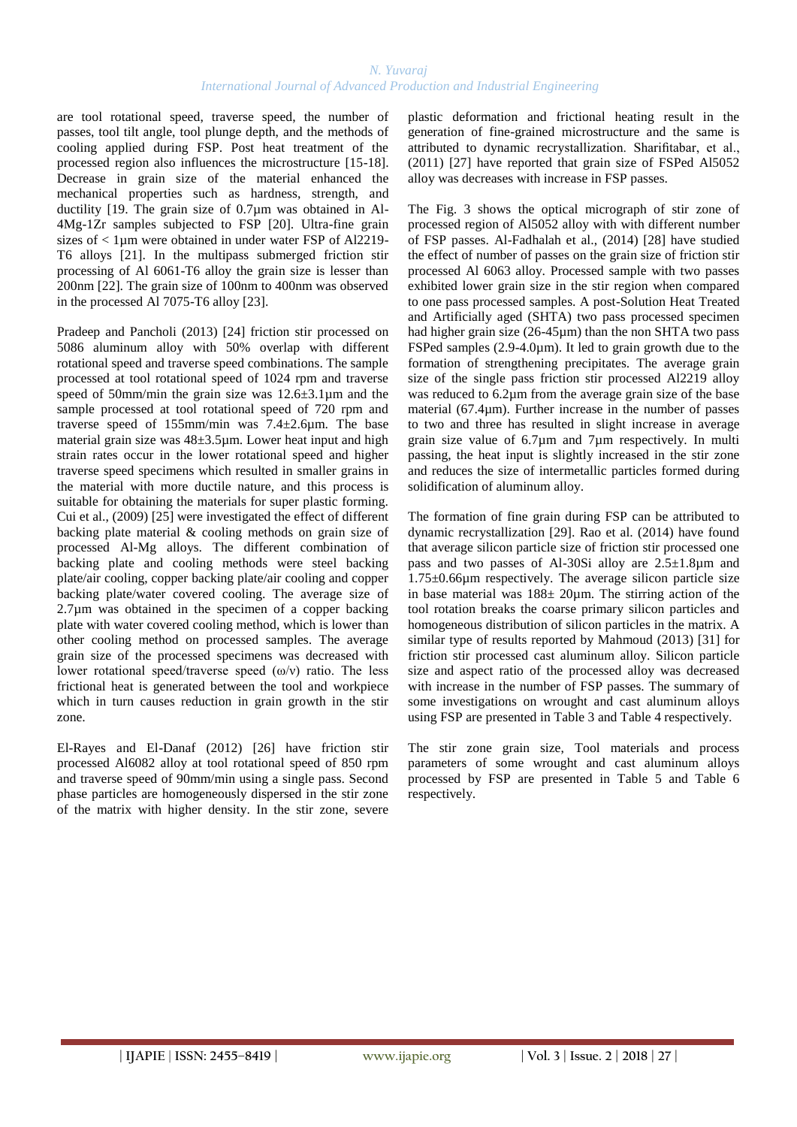are tool rotational speed, traverse speed, the number of passes, tool tilt angle, tool plunge depth, and the methods of cooling applied during FSP. Post heat treatment of the processed region also influences the microstructure [15-18]. Decrease in grain size of the material enhanced the mechanical properties such as hardness, strength, and ductility [19. The grain size of 0.7µm was obtained in Al-4Mg-1Zr samples subjected to FSP [20]. Ultra-fine grain sizes of  $\lt 1$ µm were obtained in under water FSP of Al2219-T6 alloys [21]. In the multipass submerged friction stir processing of Al 6061-T6 alloy the grain size is lesser than 200nm [22]. The grain size of 100nm to 400nm was observed in the processed Al 7075-T6 alloy [23].

Pradeep and Pancholi (2013) [24] friction stir processed on 5086 aluminum alloy with 50% overlap with different rotational speed and traverse speed combinations. The sample processed at tool rotational speed of 1024 rpm and traverse speed of 50mm/min the grain size was  $12.6\pm3.1\,\mu$ m and the sample processed at tool rotational speed of 720 rpm and traverse speed of 155mm/min was 7.4±2.6µm. The base material grain size was 48±3.5µm. Lower heat input and high strain rates occur in the lower rotational speed and higher traverse speed specimens which resulted in smaller grains in the material with more ductile nature, and this process is suitable for obtaining the materials for super plastic forming. Cui et al., (2009) [25] were investigated the effect of different backing plate material & cooling methods on grain size of processed Al-Mg alloys. The different combination of backing plate and cooling methods were steel backing plate/air cooling, copper backing plate/air cooling and copper backing plate/water covered cooling. The average size of 2.7µm was obtained in the specimen of a copper backing plate with water covered cooling method, which is lower than other cooling method on processed samples. The average grain size of the processed specimens was decreased with lower rotational speed/traverse speed  $(\omega/v)$  ratio. The less frictional heat is generated between the tool and workpiece which in turn causes reduction in grain growth in the stir zone.

El-Rayes and El-Danaf (2012) [26] have friction stir processed Al6082 alloy at tool rotational speed of 850 rpm and traverse speed of 90mm/min using a single pass. Second phase particles are homogeneously dispersed in the stir zone of the matrix with higher density. In the stir zone, severe plastic deformation and frictional heating result in the generation of fine-grained microstructure and the same is attributed to dynamic recrystallization. Sharifitabar, et al., (2011) [27] have reported that grain size of FSPed Al5052 alloy was decreases with increase in FSP passes.

The Fig. 3 shows the optical micrograph of stir zone of processed region of Al5052 alloy with with different number of FSP passes. Al-Fadhalah et al., (2014) [28] have studied the effect of number of passes on the grain size of friction stir processed Al 6063 alloy. Processed sample with two passes exhibited lower grain size in the stir region when compared to one pass processed samples. A post-Solution Heat Treated and Artificially aged (SHTA) two pass processed specimen had higher grain size (26-45µm) than the non SHTA two pass FSPed samples (2.9-4.0µm). It led to grain growth due to the formation of strengthening precipitates. The average grain size of the single pass friction stir processed Al2219 alloy was reduced to 6.2 $\mu$ m from the average grain size of the base material (67.4µm). Further increase in the number of passes to two and three has resulted in slight increase in average grain size value of 6.7µm and 7µm respectively. In multi passing, the heat input is slightly increased in the stir zone and reduces the size of intermetallic particles formed during solidification of aluminum alloy.

The formation of fine grain during FSP can be attributed to dynamic recrystallization [29]. Rao et al. (2014) have found that average silicon particle size of friction stir processed one pass and two passes of Al-30Si alloy are 2.5±1.8µm and 1.75±0.66µm respectively. The average silicon particle size in base material was  $188 \pm 20 \mu m$ . The stirring action of the tool rotation breaks the coarse primary silicon particles and homogeneous distribution of silicon particles in the matrix. A similar type of results reported by Mahmoud (2013) [31] for friction stir processed cast aluminum alloy. Silicon particle size and aspect ratio of the processed alloy was decreased with increase in the number of FSP passes. The summary of some investigations on wrought and cast aluminum alloys using FSP are presented in Table 3 and Table 4 respectively.

The stir zone grain size, Tool materials and process parameters of some wrought and cast aluminum alloys processed by FSP are presented in Table 5 and Table 6 respectively.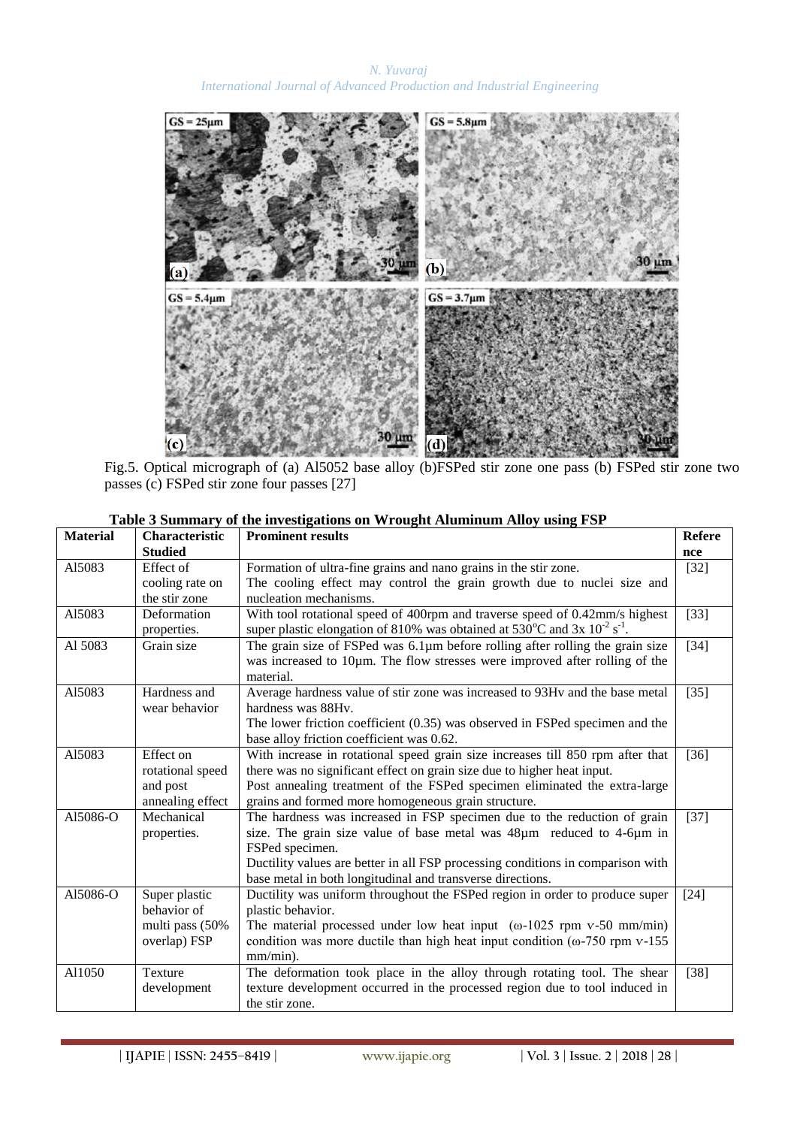

Fig.5. Optical micrograph of (a) Al5052 base alloy (b)FSPed stir zone one pass (b) FSPed stir zone two passes (c) FSPed stir zone four passes [27]

| <b>Material</b> | Characteristic   | <b>Prominent results</b>                                                                              |        |  |
|-----------------|------------------|-------------------------------------------------------------------------------------------------------|--------|--|
|                 | <b>Studied</b>   |                                                                                                       | nce    |  |
| A15083          | Effect of        | Formation of ultra-fine grains and nano grains in the stir zone.                                      | $[32]$ |  |
|                 | cooling rate on  | The cooling effect may control the grain growth due to nuclei size and                                |        |  |
|                 | the stir zone    | nucleation mechanisms.                                                                                |        |  |
| Al5083          | Deformation      | With tool rotational speed of 400rpm and traverse speed of 0.42mm/s highest                           | $[33]$ |  |
|                 | properties.      | super plastic elongation of 810% was obtained at $530^{\circ}$ C and $3x$ $10^{-2}$ s <sup>-1</sup> . |        |  |
| Al 5083         | Grain size       | The grain size of FSPed was 6.1µm before rolling after rolling the grain size                         | $[34]$ |  |
|                 |                  | was increased to 10pm. The flow stresses were improved after rolling of the                           |        |  |
|                 |                  | material.                                                                                             |        |  |
| Al5083          | Hardness and     | Average hardness value of stir zone was increased to 93Hv and the base metal                          | $[35]$ |  |
|                 | wear behavior    | hardness was 88Hv.                                                                                    |        |  |
|                 |                  | The lower friction coefficient (0.35) was observed in FSPed specimen and the                          |        |  |
|                 |                  | base alloy friction coefficient was 0.62.                                                             |        |  |
| Al5083          | Effect on        | With increase in rotational speed grain size increases till 850 rpm after that                        | $[36]$ |  |
|                 | rotational speed | there was no significant effect on grain size due to higher heat input.                               |        |  |
|                 | and post         | Post annealing treatment of the FSPed specimen eliminated the extra-large                             |        |  |
|                 | annealing effect | grains and formed more homogeneous grain structure.                                                   |        |  |
| A15086-O        | Mechanical       | The hardness was increased in FSP specimen due to the reduction of grain                              | $[37]$ |  |
|                 | properties.      | size. The grain size value of base metal was 48µm reduced to 4-6µm in                                 |        |  |
|                 |                  | FSPed specimen.                                                                                       |        |  |
|                 |                  | Ductility values are better in all FSP processing conditions in comparison with                       |        |  |
|                 |                  | base metal in both longitudinal and transverse directions.                                            |        |  |
| A15086-O        | Super plastic    | Ductility was uniform throughout the FSPed region in order to produce super                           | $[24]$ |  |
|                 | behavior of      | plastic behavior.                                                                                     |        |  |
|                 | multi pass (50%  | The material processed under low heat input $(\omega$ -1025 rpm v-50 mm/min)                          |        |  |
|                 | overlap) FSP     | condition was more ductile than high heat input condition ( $\omega$ -750 rpm v-155                   |        |  |
|                 |                  | mm/min).                                                                                              |        |  |
| Al1050          | <b>Texture</b>   | The deformation took place in the alloy through rotating tool. The shear                              | $[38]$ |  |
|                 | development      | texture development occurred in the processed region due to tool induced in                           |        |  |
|                 |                  | the stir zone.                                                                                        |        |  |

| Table 3 Summary of the investigations on Wrought Aluminum Alloy using FSP |  |
|---------------------------------------------------------------------------|--|
|---------------------------------------------------------------------------|--|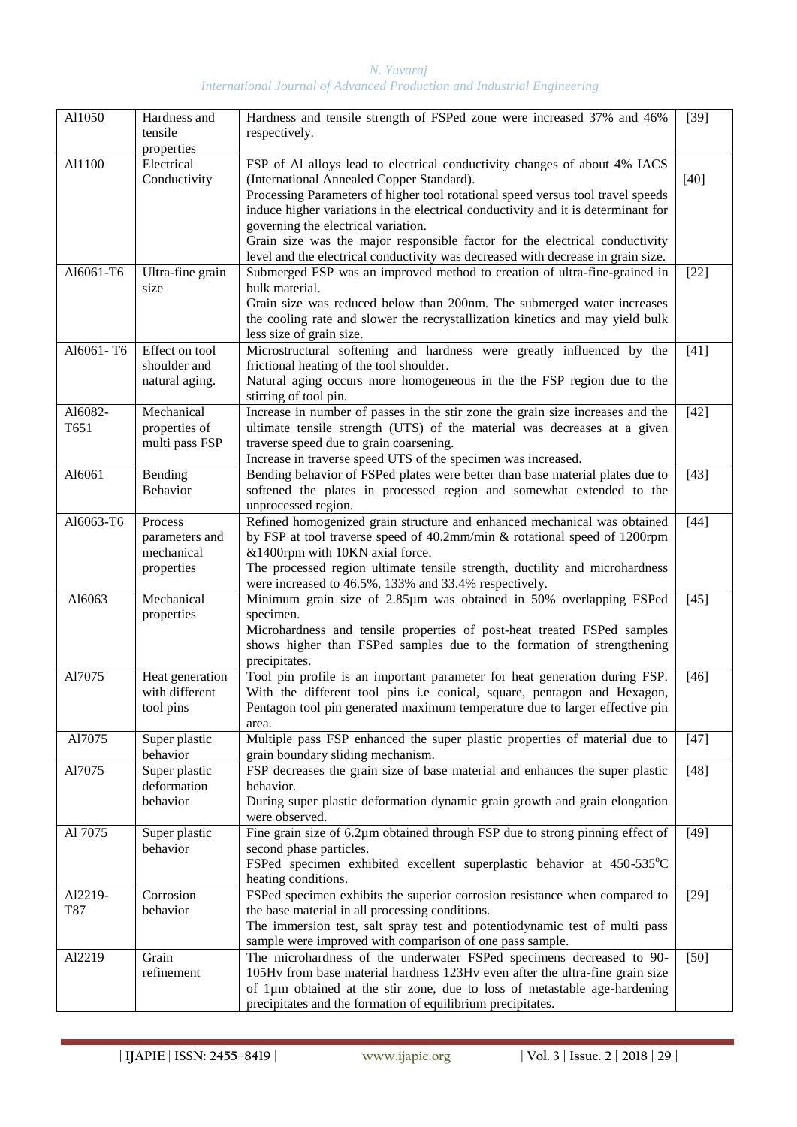| Al1050          | Hardness and<br>tensile<br>properties                 | Hardness and tensile strength of FSPed zone were increased 37% and 46%<br>respectively.                                                                                                                                                                                                                                                                                                                                                                                                                  |        |  |  |
|-----------------|-------------------------------------------------------|----------------------------------------------------------------------------------------------------------------------------------------------------------------------------------------------------------------------------------------------------------------------------------------------------------------------------------------------------------------------------------------------------------------------------------------------------------------------------------------------------------|--------|--|--|
| Al1100          | Electrical<br>Conductivity                            | FSP of Al alloys lead to electrical conductivity changes of about 4% IACS<br>(International Annealed Copper Standard).<br>Processing Parameters of higher tool rotational speed versus tool travel speeds<br>induce higher variations in the electrical conductivity and it is determinant for<br>governing the electrical variation.<br>Grain size was the major responsible factor for the electrical conductivity<br>level and the electrical conductivity was decreased with decrease in grain size. | $[40]$ |  |  |
| A16061-T6       | Ultra-fine grain<br>size                              | Submerged FSP was an improved method to creation of ultra-fine-grained in<br>bulk material.<br>Grain size was reduced below than 200nm. The submerged water increases<br>the cooling rate and slower the recrystallization kinetics and may yield bulk<br>less size of grain size.                                                                                                                                                                                                                       | $[22]$ |  |  |
| Al6061-T6       | Effect on tool<br>shoulder and<br>natural aging.      | Microstructural softening and hardness were greatly influenced by the<br>frictional heating of the tool shoulder.<br>Natural aging occurs more homogeneous in the the FSP region due to the<br>stirring of tool pin.                                                                                                                                                                                                                                                                                     | $[41]$ |  |  |
| Al6082-<br>T651 | Mechanical<br>properties of<br>multi pass FSP         | Increase in number of passes in the stir zone the grain size increases and the<br>ultimate tensile strength (UTS) of the material was decreases at a given<br>traverse speed due to grain coarsening.<br>Increase in traverse speed UTS of the specimen was increased.                                                                                                                                                                                                                                   | $[42]$ |  |  |
| Al6061          | Bending<br><b>Behavior</b>                            | Bending behavior of FSPed plates were better than base material plates due to<br>softened the plates in processed region and somewhat extended to the<br>unprocessed region.                                                                                                                                                                                                                                                                                                                             | $[43]$ |  |  |
| A16063-T6       | Process<br>parameters and<br>mechanical<br>properties | Refined homogenized grain structure and enhanced mechanical was obtained<br>by FSP at tool traverse speed of 40.2mm/min & rotational speed of 1200rpm<br>&1400rpm with 10KN axial force.<br>The processed region ultimate tensile strength, ductility and microhardness<br>were increased to 46.5%, 133% and 33.4% respectively.                                                                                                                                                                         | $[44]$ |  |  |
| A16063          | Mechanical<br>properties                              | Minimum grain size of 2.85µm was obtained in 50% overlapping FSPed<br>specimen.<br>Microhardness and tensile properties of post-heat treated FSPed samples<br>shows higher than FSPed samples due to the formation of strengthening<br>precipitates.                                                                                                                                                                                                                                                     | $[45]$ |  |  |
| Al7075          | Heat generation<br>with different<br>tool pins        | Tool pin profile is an important parameter for heat generation during FSP.<br>With the different tool pins i.e conical, square, pentagon and Hexagon,<br>Pentagon tool pin generated maximum temperature due to larger effective pin<br>area.                                                                                                                                                                                                                                                            | $[46]$ |  |  |
| Al7075          | Super plastic<br>behavior                             | Multiple pass FSP enhanced the super plastic properties of material due to<br>grain boundary sliding mechanism.                                                                                                                                                                                                                                                                                                                                                                                          | $[47]$ |  |  |
| Al7075          | Super plastic<br>deformation<br>behavior              | FSP decreases the grain size of base material and enhances the super plastic<br>behavior.<br>During super plastic deformation dynamic grain growth and grain elongation<br>were observed.                                                                                                                                                                                                                                                                                                                | $[48]$ |  |  |
| Al 7075         | Super plastic<br>behavior                             | Fine grain size of 6.2µm obtained through FSP due to strong pinning effect of<br>second phase particles.<br>FSPed specimen exhibited excellent superplastic behavior at 450-535°C<br>heating conditions.                                                                                                                                                                                                                                                                                                 | $[49]$ |  |  |
| Al2219-<br>T87  | Corrosion<br>behavior                                 | FSPed specimen exhibits the superior corrosion resistance when compared to<br>the base material in all processing conditions.<br>The immersion test, salt spray test and potentiodynamic test of multi pass<br>sample were improved with comparison of one pass sample.                                                                                                                                                                                                                                  | $[29]$ |  |  |
| Al2219          | Grain<br>refinement                                   | The microhardness of the underwater FSPed specimens decreased to 90-<br>105Hv from base material hardness 123Hv even after the ultra-fine grain size<br>of 1um obtained at the stir zone, due to loss of metastable age-hardening<br>precipitates and the formation of equilibrium precipitates.                                                                                                                                                                                                         | $[50]$ |  |  |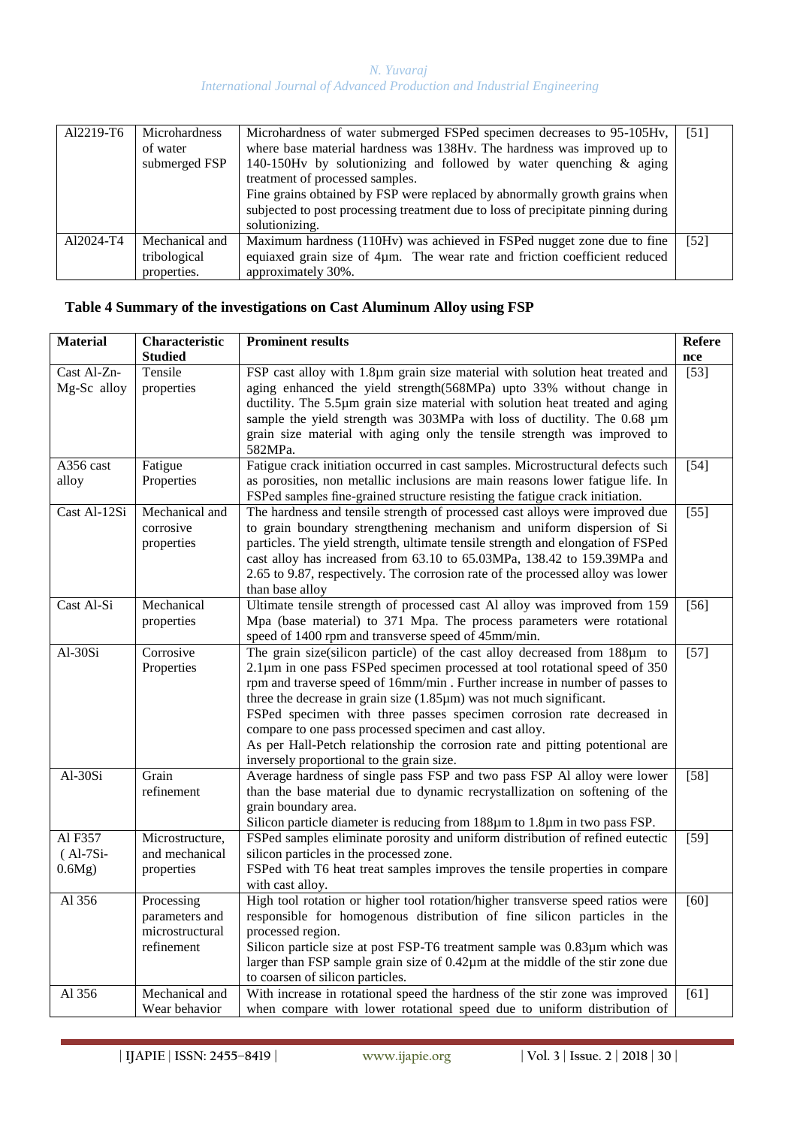| Al2219-T6 | <b>Microhardness</b><br>of water<br>submerged FSP | Microhardness of water submerged FSPed specimen decreases to 95-105Hv,<br>where base material hardness was 138Hv. The hardness was improved up to<br>140-150Hv by solutionizing and followed by water quenching $\&$ aging<br>treatment of processed samples.<br>Fine grains obtained by FSP were replaced by abnormally growth grains when<br>subjected to post processing treatment due to loss of precipitate pinning during<br>solutionizing. | [51] |
|-----------|---------------------------------------------------|---------------------------------------------------------------------------------------------------------------------------------------------------------------------------------------------------------------------------------------------------------------------------------------------------------------------------------------------------------------------------------------------------------------------------------------------------|------|
| Al2024-T4 | Mechanical and<br>tribological<br>properties.     | Maximum hardness (110Hv) was achieved in FSPed nugget zone due to fine<br>equiaxed grain size of 4um. The wear rate and friction coefficient reduced<br>approximately 30%.                                                                                                                                                                                                                                                                        | [52] |

## **Table 4 Summary of the investigations on Cast Aluminum Alloy using FSP**

| <b>Material</b> | Characteristic  | <b>Prominent results</b><br><b>Refere</b>                                                                                               |                   |  |
|-----------------|-----------------|-----------------------------------------------------------------------------------------------------------------------------------------|-------------------|--|
|                 | <b>Studied</b>  |                                                                                                                                         | nce               |  |
| Cast Al-Zn-     | Tensile         | FSP cast alloy with 1.8µm grain size material with solution heat treated and                                                            | $[53]$            |  |
| Mg-Sc alloy     | properties      | aging enhanced the yield strength(568MPa) upto 33% without change in                                                                    |                   |  |
|                 |                 | ductility. The 5.5µm grain size material with solution heat treated and aging                                                           |                   |  |
|                 |                 | sample the yield strength was 303MPa with loss of ductility. The 0.68 µm                                                                |                   |  |
|                 |                 | grain size material with aging only the tensile strength was improved to                                                                |                   |  |
|                 |                 | 582MPa.                                                                                                                                 |                   |  |
| A356 cast       | Fatigue         | Fatigue crack initiation occurred in cast samples. Microstructural defects such                                                         | $[54]$            |  |
| alloy           | Properties      | as porosities, non metallic inclusions are main reasons lower fatigue life. In                                                          |                   |  |
|                 |                 | FSPed samples fine-grained structure resisting the fatigue crack initiation.                                                            |                   |  |
| Cast Al-12Si    | Mechanical and  | The hardness and tensile strength of processed cast alloys were improved due                                                            | $[55]$            |  |
|                 | corrosive       | to grain boundary strengthening mechanism and uniform dispersion of Si                                                                  |                   |  |
|                 | properties      | particles. The yield strength, ultimate tensile strength and elongation of FSPed                                                        |                   |  |
|                 |                 | cast alloy has increased from 63.10 to 65.03MPa, 138.42 to 159.39MPa and                                                                |                   |  |
|                 |                 | 2.65 to 9.87, respectively. The corrosion rate of the processed alloy was lower                                                         |                   |  |
|                 |                 | than base alloy                                                                                                                         |                   |  |
| Cast Al-Si      | Mechanical      | Ultimate tensile strength of processed cast Al alloy was improved from 159                                                              | $[56]$            |  |
|                 | properties      | Mpa (base material) to 371 Mpa. The process parameters were rotational                                                                  |                   |  |
|                 |                 | speed of 1400 rpm and transverse speed of 45mm/min.                                                                                     |                   |  |
| Al-30Si         | Corrosive       | The grain size(silicon particle) of the cast alloy decreased from 188µm to                                                              | $[57]$            |  |
|                 | Properties      | $2.1\mu$ m in one pass FSPed specimen processed at tool rotational speed of 350                                                         |                   |  |
|                 |                 | rpm and traverse speed of 16mm/min. Further increase in number of passes to                                                             |                   |  |
|                 |                 | three the decrease in grain size $(1.85 \mu m)$ was not much significant.                                                               |                   |  |
|                 |                 | FSPed specimen with three passes specimen corrosion rate decreased in                                                                   |                   |  |
|                 |                 | compare to one pass processed specimen and cast alloy.<br>As per Hall-Petch relationship the corrosion rate and pitting potentional are |                   |  |
|                 |                 | inversely proportional to the grain size.                                                                                               |                   |  |
| Al-30Si         | Grain           | Average hardness of single pass FSP and two pass FSP Al alloy were lower                                                                | $\overline{[58]}$ |  |
|                 | refinement      | than the base material due to dynamic recrystallization on softening of the                                                             |                   |  |
|                 |                 | grain boundary area.                                                                                                                    |                   |  |
|                 |                 | Silicon particle diameter is reducing from 188µm to 1.8µm in two pass FSP.                                                              |                   |  |
| Al F357         | Microstructure, | FSPed samples eliminate porosity and uniform distribution of refined eutectic                                                           | $[59]$            |  |
| $(Al-7Si-$      | and mechanical  | silicon particles in the processed zone.                                                                                                |                   |  |
| 0.6Mg)          | properties      | FSPed with T6 heat treat samples improves the tensile properties in compare                                                             |                   |  |
|                 |                 | with cast alloy.                                                                                                                        |                   |  |
| Al 356          | Processing      | High tool rotation or higher tool rotation/higher transverse speed ratios were                                                          | $[60]$            |  |
|                 | parameters and  | responsible for homogenous distribution of fine silicon particles in the                                                                |                   |  |
|                 | microstructural | processed region.                                                                                                                       |                   |  |
|                 | refinement      | Silicon particle size at post FSP-T6 treatment sample was 0.83µm which was                                                              |                   |  |
|                 |                 | larger than FSP sample grain size of 0.42µm at the middle of the stir zone due                                                          |                   |  |
|                 |                 | to coarsen of silicon particles.                                                                                                        |                   |  |
| Al 356          | Mechanical and  | With increase in rotational speed the hardness of the stir zone was improved                                                            | [61]              |  |
|                 | Wear behavior   | when compare with lower rotational speed due to uniform distribution of                                                                 |                   |  |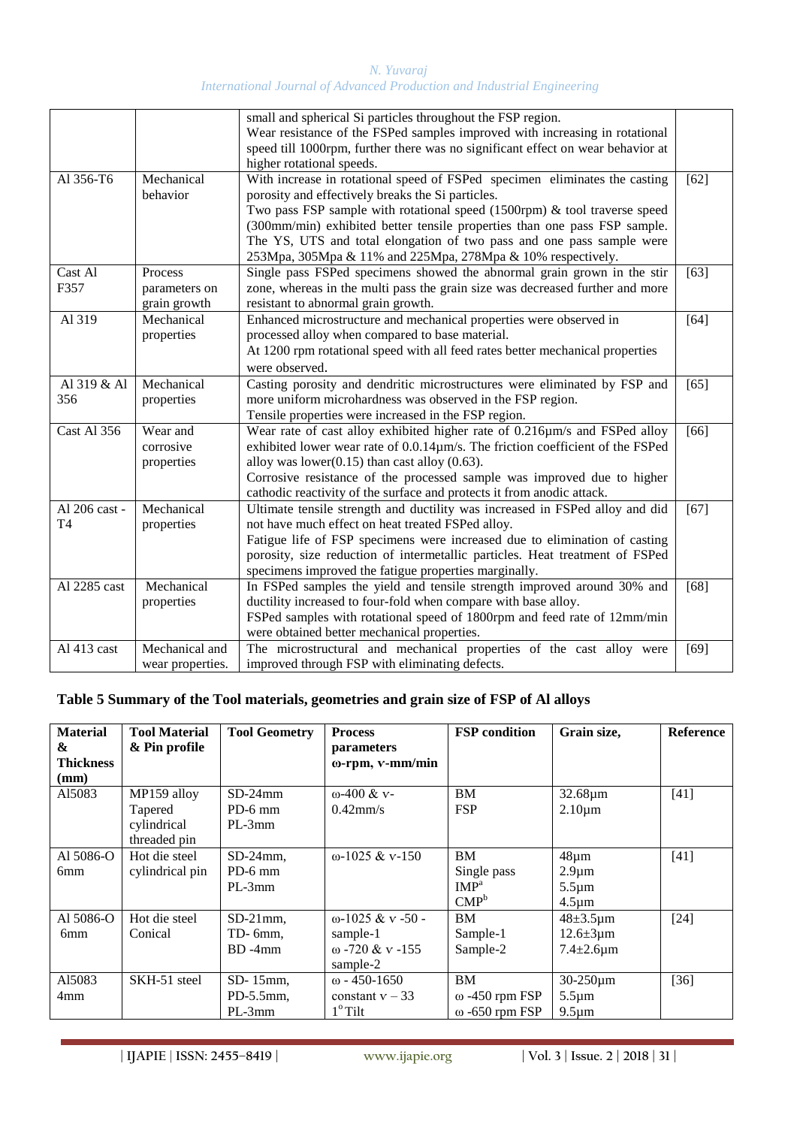|                                 |                                          | small and spherical Si particles throughout the FSP region.<br>Wear resistance of the FSPed samples improved with increasing in rotational<br>speed till 1000rpm, further there was no significant effect on wear behavior at<br>higher rotational speeds.                                                                                                                                                                           |        |
|---------------------------------|------------------------------------------|--------------------------------------------------------------------------------------------------------------------------------------------------------------------------------------------------------------------------------------------------------------------------------------------------------------------------------------------------------------------------------------------------------------------------------------|--------|
| Al 356-T6                       | Mechanical<br>behavior                   | With increase in rotational speed of FSPed specimen eliminates the casting<br>porosity and effectively breaks the Si particles.<br>Two pass FSP sample with rotational speed $(1500$ rpm) & tool traverse speed<br>(300mm/min) exhibited better tensile properties than one pass FSP sample.<br>The YS, UTS and total elongation of two pass and one pass sample were<br>253Mpa, 305Mpa & 11% and 225Mpa, 278Mpa & 10% respectively. | $[62]$ |
| Cast Al<br>F357                 | Process<br>parameters on<br>grain growth | Single pass FSPed specimens showed the abnormal grain grown in the stir<br>zone, whereas in the multi pass the grain size was decreased further and more<br>resistant to abnormal grain growth.                                                                                                                                                                                                                                      | $[63]$ |
| Al 319                          | Mechanical<br>properties                 | Enhanced microstructure and mechanical properties were observed in<br>processed alloy when compared to base material.<br>At 1200 rpm rotational speed with all feed rates better mechanical properties<br>were observed.                                                                                                                                                                                                             | [64]   |
| Al 319 & Al<br>356              | Mechanical<br>properties                 | Casting porosity and dendritic microstructures were eliminated by FSP and<br>more uniform microhardness was observed in the FSP region.<br>Tensile properties were increased in the FSP region.                                                                                                                                                                                                                                      | [65]   |
| <b>Cast Al 356</b>              | Wear and<br>corrosive<br>properties      | Wear rate of cast alloy exhibited higher rate of 0.216µm/s and FSPed alloy<br>exhibited lower wear rate of 0.0.14µm/s. The friction coefficient of the FSPed<br>alloy was lower $(0.15)$ than cast alloy $(0.63)$ .<br>Corrosive resistance of the processed sample was improved due to higher<br>cathodic reactivity of the surface and protects it from anodic attack.                                                             | [66]   |
| Al 206 cast -<br>T <sub>4</sub> | Mechanical<br>properties                 | Ultimate tensile strength and ductility was increased in FSPed alloy and did<br>not have much effect on heat treated FSPed alloy.<br>Fatigue life of FSP specimens were increased due to elimination of casting<br>porosity, size reduction of intermetallic particles. Heat treatment of FSPed<br>specimens improved the fatigue properties marginally.                                                                             | $[67]$ |
| Al 2285 cast                    | Mechanical<br>properties                 | In FSPed samples the yield and tensile strength improved around 30% and<br>ductility increased to four-fold when compare with base alloy.<br>FSPed samples with rotational speed of 1800rpm and feed rate of 12mm/min<br>were obtained better mechanical properties.                                                                                                                                                                 | $[68]$ |
| Al 413 cast                     | Mechanical and<br>wear properties.       | The microstructural and mechanical properties of the cast alloy were<br>improved through FSP with eliminating defects.                                                                                                                                                                                                                                                                                                               | $[69]$ |

## **Table 5 Summary of the Tool materials, geometries and grain size of FSP of Al alloys**

| <b>Material</b>  | <b>Tool Material</b> | <b>Tool Geometry</b> | <b>Process</b>           | <b>FSP</b> condition  | Grain size,          | <b>Reference</b> |
|------------------|----------------------|----------------------|--------------------------|-----------------------|----------------------|------------------|
| &                | & Pin profile        |                      | parameters               |                       |                      |                  |
| <b>Thickness</b> |                      |                      | ω-rpm, v-mm/min          |                       |                      |                  |
| (mm)             |                      |                      |                          |                       |                      |                  |
| A15083           | MP159 alloy          | $SD-24mm$            | $\omega$ -400 & v-       | <b>BM</b>             | $32.68 \mu m$        | $[41]$           |
|                  | Tapered              | $PD-6$ mm            | $0.42$ mm/s              | <b>FSP</b>            | $2.10 \mu m$         |                  |
|                  | cylindrical          | $PL-3mm$             |                          |                       |                      |                  |
|                  | threaded pin         |                      |                          |                       |                      |                  |
| Al 5086-O        | Hot die steel        | $SD-24mm$ .          | $\omega$ -1025 & v-150   | <b>BM</b>             | $48 \mu m$           | $[41]$           |
| 6 <sub>mm</sub>  | cylindrical pin      | $PD-6$ mm            |                          | Single pass           | $2.9 \mu m$          |                  |
|                  |                      | $PL-3mm$             |                          | IMP <sup>a</sup>      | $5.5 \mu m$          |                  |
|                  |                      |                      |                          | $\text{CMP}^b$        | $4.5 \mu m$          |                  |
| Al 5086-O        | Hot die steel        | $SD-21$ mm,          | $\omega$ -1025 & v -50 - | <b>BM</b>             | $48 \pm 3.5 \,\mu m$ | $[24]$           |
| 6 <sub>mm</sub>  | Conical              | TD-6mm,              | sample-1                 | Sample-1              | $12.6 \pm 3 \,\mu m$ |                  |
|                  |                      | $BD - 4mm$           | $\omega$ -720 & v -155   | Sample-2              | $7.4 \pm 2.6 \mu m$  |                  |
|                  |                      |                      | sample-2                 |                       |                      |                  |
| A15083           | SKH-51 steel         | SD-15mm.             | $\omega$ - 450-1650      | <b>BM</b>             | 30-250um             | $[36]$           |
| 4mm              |                      | $PD-5.5mm$ ,         | constant $v - 33$        | $\omega$ -450 rpm FSP | $5.5 \mu m$          |                  |
|                  |                      | $PL-3mm$             | $1^\circ$ Tilt           | $\omega$ -650 rpm FSP | $9.5 \mu m$          |                  |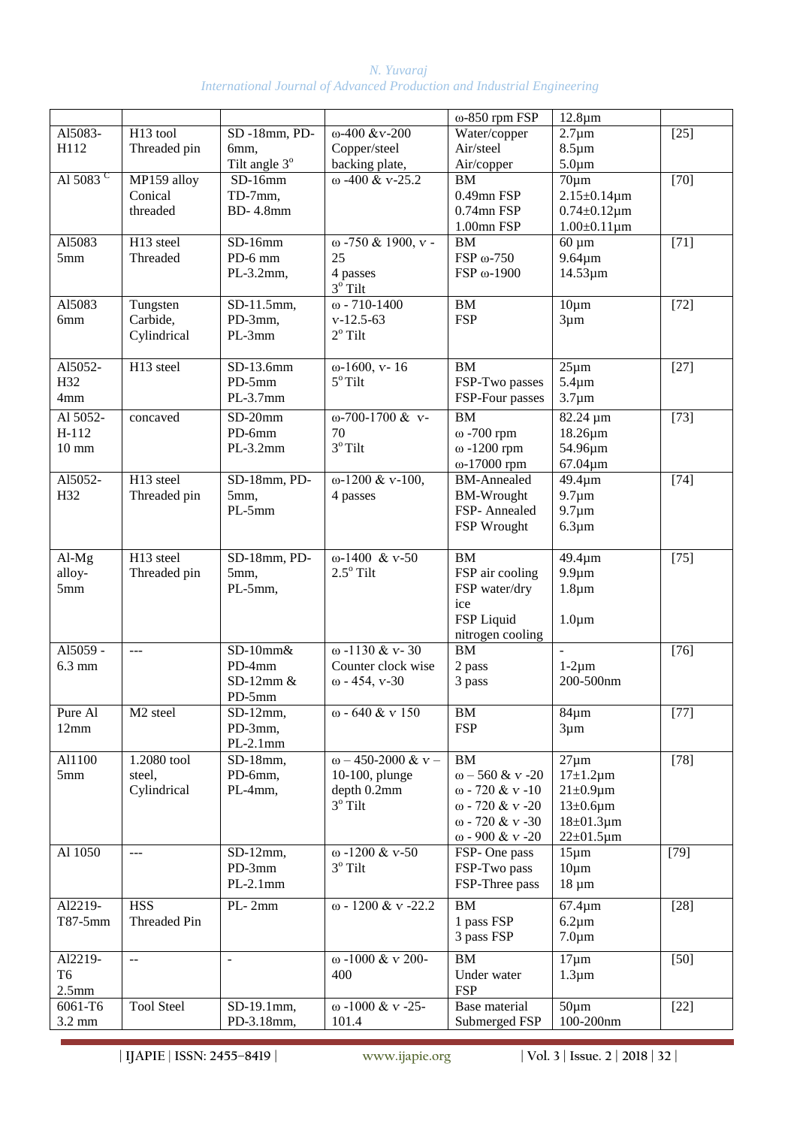| N. Yuvarai                                                              |  |
|-------------------------------------------------------------------------|--|
| International Journal of Advanced Production and Industrial Engineering |  |

|                      |                           |                       |                                             | $\omega$ -850 rpm FSP   | $12.8 \mu m$               |        |
|----------------------|---------------------------|-----------------------|---------------------------------------------|-------------------------|----------------------------|--------|
| Al5083-              | H <sub>13</sub> tool      | SD-18mm, PD-          | $ω-400$ &v-200                              | Water/copper            | $2.7 \mu m$                | $[25]$ |
| H112                 | Threaded pin              | 6mm,                  | Copper/steel                                | Air/steel               | $8.5 \mu m$                |        |
|                      |                           | Tilt angle 3°         | backing plate,                              | Air/copper              | $5.0 \mu m$                |        |
| Al 5083 <sup>C</sup> | MP159 alloy               | $SD-16mm$             | $\omega$ -400 & v-25.2                      | <b>BM</b>               | $70 \mu m$                 | $[70]$ |
|                      | Conical                   | TD-7mm,               |                                             | 0.49mn FSP              | $2.15 \pm 0.14 \,\mu m$    |        |
|                      | threaded                  | <b>BD-4.8mm</b>       |                                             | 0.74mn FSP              | $0.74 \pm 0.12 \,\mu m$    |        |
| A15083               | H <sub>13</sub> steel     | $SD-16mm$             | ω -750 & 1900, v -                          | 1.00mn FSP<br><b>BM</b> | $1.00 \pm 0.11 \,\mu m$    | $[71]$ |
| 5 <sub>mm</sub>      | Threaded                  | PD-6 mm               | 25                                          | FSP ω-750               | $60 \mu m$<br>$9.64 \mu m$ |        |
|                      |                           | $PL-3.2mm$            | 4 passes                                    | FSP ω-1900              | $14.53 \mu m$              |        |
|                      |                           |                       | $3^{\circ}$ Tilt                            |                         |                            |        |
| A15083               | Tungsten                  | SD-11.5mm,            | $\omega$ - 710-1400                         | <b>BM</b>               | $10 \mu m$                 | $[72]$ |
| 6mm                  | Carbide,                  | PD-3mm,               | $v-12.5-63$                                 | <b>FSP</b>              | $3 \mu m$                  |        |
|                      | Cylindrical               | PL-3mm                | $2^{\circ}$ Tilt                            |                         |                            |        |
| Al5052-              | H <sub>13</sub> steel     | SD-13.6mm             | $\omega$ -1600, v-16                        | <b>BM</b>               | $25 \mu m$                 | $[27]$ |
| H32                  |                           | $PD-5mm$              | $5^{\circ}$ Tilt                            | FSP-Two passes          | $5.4 \mu m$                |        |
| 4mm                  |                           | $PL-3.7mm$            |                                             | FSP-Four passes         | $3.7 \mu m$                |        |
| Al 5052-             | concaved                  | $SD-20mm$             | $\omega$ -700-1700 & v-                     | $\overline{BM}$         | 82.24 µm                   | $[73]$ |
| H-112                |                           | PD-6mm                | 70                                          | $\omega$ -700 rpm       | $18.26 \mu m$              |        |
| $10 \text{ mm}$      |                           | $PL-3.2mm$            | $3^{\circ}$ Tilt                            | $\omega$ -1200 rpm      | 54.96µm                    |        |
|                      |                           |                       |                                             | $\omega$ -17000 rpm     | 67.04µm                    |        |
| Al5052-              | H <sub>13</sub> steel     | $SD-18mm$ , PD-       | $ω-1200 & v-100$ ,                          | <b>BM-Annealed</b>      | 49.4µm                     | $[74]$ |
| H32                  | Threaded pin              | 5mm,                  | 4 passes                                    | <b>BM-Wrought</b>       | $9.7 \mu m$                |        |
|                      |                           | PL-5mm                |                                             | FSP-Annealed            | $9.7 \mu m$                |        |
|                      |                           |                       |                                             | FSP Wrought             | $6.3 \mu m$                |        |
|                      |                           |                       |                                             |                         |                            |        |
| Al-Mg                | H <sub>13</sub> steel     | $SD-18$ mm, PD-       | $\overline{w}$ -1400 & v-50                 | BM                      | 49.4um                     | $[75]$ |
| alloy-               | Threaded pin              | 5mm,                  | $2.5^{\circ}$ Tilt                          | FSP air cooling         | $9.9 \mu m$                |        |
| 5mm                  |                           | PL-5mm,               |                                             | FSP water/dry           | $1.8 \mu m$                |        |
|                      |                           |                       |                                             | ice                     |                            |        |
|                      |                           |                       |                                             | FSP Liquid              | $1.0 \mu m$                |        |
|                      |                           |                       |                                             | nitrogen cooling        |                            |        |
| Al5059 -<br>$6.3$ mm | $\overline{a}$            | $SD-10mm$ &<br>PD-4mm | $\omega$ -1130 & v-30<br>Counter clock wise | BM                      | $\overline{a}$             | $[76]$ |
|                      |                           | $SD-12mm$ &           | $\omega$ - 454, v-30                        | 2 pass<br>3 pass        | $1-2\mu m$<br>200-500nm    |        |
|                      |                           | $PD-5mm$              |                                             |                         |                            |        |
| Pure Al              | M <sub>2</sub> steel      | $SD-12mm$ ,           | $\omega$ - 640 & v 150                      | ΒM                      | $84\mu m$                  | $[77]$ |
| 12mm                 |                           | PD-3mm,               |                                             | <b>FSP</b>              | $3 \mu m$                  |        |
|                      |                           | $PL-2.1mm$            |                                             |                         |                            |        |
| Al1100               | 1.2080 tool               | SD-18mm,              | $\omega$ – 450-2000 & v –                   | BM                      | $27 \mu m$                 | $[78]$ |
| 5mm                  | steel,                    | PD-6mm,               | 10-100, plunge                              | $ω - 560 & v - 20$      | $17\pm1.2\mu m$            |        |
|                      | Cylindrical               | PL-4mm,               | depth 0.2mm                                 | $\omega$ - 720 & v -10  | $21 \pm 0.9 \mu m$         |        |
|                      |                           |                       | $3^{\rm o}$ Tilt                            | ω - 720 & v -20         | $13\pm0.6\mu m$            |        |
|                      |                           |                       |                                             | $\omega$ - 720 & v -30  | $18 \pm 01.3 \,\mu m$      |        |
|                      |                           |                       |                                             | $\omega$ - 900 & v -20  | $22 \pm 01.5 \,\mu m$      |        |
| Al 1050              | $ -$                      | $SD-12mm$ ,           | $\omega$ -1200 & v-50                       | FSP- One pass           | $15 \mu m$                 | $[79]$ |
|                      |                           | PD-3mm                | $3^{\circ}$ Tilt                            | FSP-Two pass            | $10 \mu m$                 |        |
|                      |                           | $PL-2.1mm$            |                                             | FSP-Three pass          | $18 \mu m$                 |        |
| Al2219-              | <b>HSS</b>                | $PL-2mm$              | $\omega$ - 1200 & v -22.2                   | ${\bf BM}$              | $67.4 \mu m$               | $[28]$ |
| T87-5mm              | Threaded Pin              |                       |                                             | 1 pass FSP              | $6.2 \mu m$                |        |
|                      |                           |                       |                                             | 3 pass FSP              | $7.0 \mu m$                |        |
| Al2219-              | $\mathbb{L}^{\mathbb{L}}$ | $\frac{1}{2}$         | ω-1000 & v 200-                             | <b>BM</b>               | $17 \mu m$                 | $[50]$ |
| T <sub>6</sub>       |                           |                       | 400                                         | Under water             | $1.3 \mu m$                |        |
| 2.5 <sub>mm</sub>    |                           |                       |                                             | <b>FSP</b>              |                            |        |
| 6061-T6              | <b>Tool Steel</b>         | SD-19.1mm,            | ω -1000 & v -25-                            | Base material           | $50 \mu m$                 | $[22]$ |
| $3.2 \text{ mm}$     |                           | PD-3.18mm,            | 101.4                                       | Submerged FSP           | 100-200nm                  |        |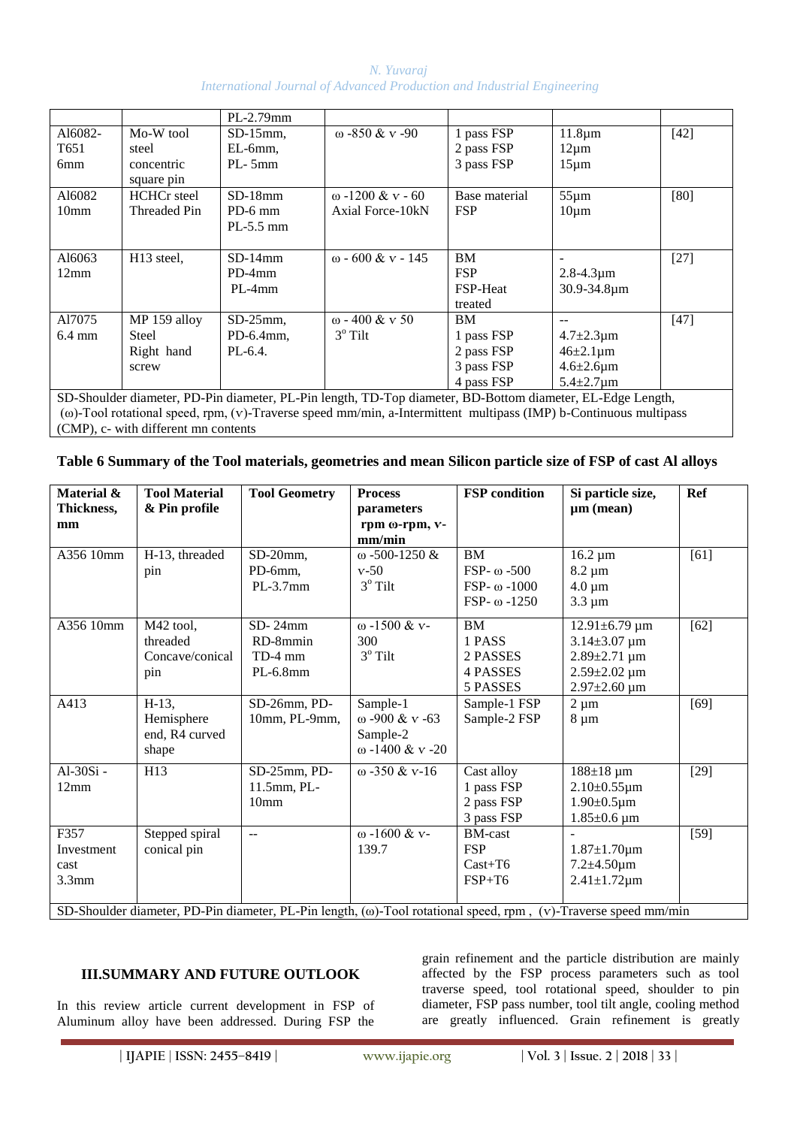|                                                                                                            |                        | PL-2.79mm    |                          |                 |                       |        |  |
|------------------------------------------------------------------------------------------------------------|------------------------|--------------|--------------------------|-----------------|-----------------------|--------|--|
| A16082-                                                                                                    | Mo-W tool              | $SD-15$ mm,  | $\omega$ -850 & v -90    | 1 pass FSP      | $11.8 \mu m$          | $[42]$ |  |
| T <sub>651</sub>                                                                                           | steel                  | $EL-6mm$     |                          | 2 pass FSP      | $12 \mu m$            |        |  |
| 6 <sub>mm</sub>                                                                                            | concentric             | PL-5mm       |                          | 3 pass FSP      | $15 \mu m$            |        |  |
|                                                                                                            | square pin             |              |                          |                 |                       |        |  |
| A16082                                                                                                     | <b>HCHCr</b> steel     | $SD-18mm$    | $\omega$ -1200 & v - 60  | Base material   | $55 \mu m$            | [80]   |  |
| 10 <sub>mm</sub>                                                                                           | Threaded Pin           | $PD-6$ mm    | Axial Force-10kN         | <b>FSP</b>      | $10 \mu m$            |        |  |
|                                                                                                            |                        | $PL-5.5$ mm  |                          |                 |                       |        |  |
|                                                                                                            |                        |              |                          |                 |                       |        |  |
| A16063                                                                                                     | H <sub>13</sub> steel, | $SD-14mm$    | $\omega$ - 600 & v - 145 | <b>BM</b>       |                       | $[27]$ |  |
| 12mm                                                                                                       |                        | $PD-4mm$     |                          | <b>FSP</b>      | $2.8 - 4.3 \mu m$     |        |  |
|                                                                                                            |                        | $PL-4mm$     |                          | <b>FSP-Heat</b> | 30.9-34.8µm           |        |  |
|                                                                                                            |                        |              |                          | treated         |                       |        |  |
| A17075                                                                                                     | MP 159 alloy           | $SD-25$ mm,  | $\omega$ - 400 & v 50    | <b>BM</b>       |                       | $[47]$ |  |
| $6.4 \text{ mm}$                                                                                           | <b>Steel</b>           | $PD-6.4$ mm, | $3^\circ$ Tilt           | 1 pass FSP      | $4.7 \pm 2.3 \,\mu m$ |        |  |
|                                                                                                            | Right hand             | $PL-6.4$ .   |                          | 2 pass FSP      | $46 \pm 2.1 \,\mu m$  |        |  |
|                                                                                                            | screw                  |              |                          | 3 pass FSP      | $4.6 \pm 2.6 \mu m$   |        |  |
|                                                                                                            |                        |              |                          | 4 pass FSP      | $5.4 \pm 2.7 \,\mu m$ |        |  |
| SD-Shoulder diameter, PD-Pin diameter, PL-Pin length, TD-Top diameter, BD-Bottom diameter, EL-Edge Length, |                        |              |                          |                 |                       |        |  |

(ω)-Tool rotational speed, rpm, (ѵ)-Traverse speed mm/min, a-Intermittent multipass (IMP) b-Continuous multipass (CMP), c- with different mn contents

| Table 6 Summary of the Tool materials, geometries and mean Silicon particle size of FSP of cast Al alloys |  |  |  |  |
|-----------------------------------------------------------------------------------------------------------|--|--|--|--|
|                                                                                                           |  |  |  |  |

| Material &<br>Thickness,<br>mm                                                                                           | <b>Tool Material</b><br>& Pin profile             | <b>Tool Geometry</b>                            | <b>Process</b><br>parameters<br>rpm ω-rpm, v-<br>mm/min   | <b>FSP</b> condition                                                            | Si particle size,<br>$\mu$ m (mean)                                                                                        | Ref    |  |
|--------------------------------------------------------------------------------------------------------------------------|---------------------------------------------------|-------------------------------------------------|-----------------------------------------------------------|---------------------------------------------------------------------------------|----------------------------------------------------------------------------------------------------------------------------|--------|--|
| A356 10mm                                                                                                                | H-13, threaded<br>pin                             | $SD-20$ mm,<br>PD-6mm,<br>$PL-3.7$ mm           | $\omega$ -500-1250 &<br>$v-50$<br>$3^{\circ}$ Tilt        | <b>BM</b><br>$FSP- \omega - 500$<br>FSP- $\omega$ -1000<br>$FSP- \omega - 1250$ | $16.2 \mu m$<br>$8.2 \mu m$<br>$4.0 \mu m$<br>$3.3 \mu m$                                                                  | $[61]$ |  |
| A356 10mm                                                                                                                | M42 tool,<br>threaded<br>Concave/conical<br>pin   | $SD-24mm$<br>RD-8mmin<br>TD-4 mm<br>$PL-6.8mm$  | $ω - 1500 & v -$<br>300<br>$3^{\circ}$ Tilt               | <b>BM</b><br>1 PASS<br>2 PASSES<br>4 PASSES<br>5 PASSES                         | $12.91 \pm 6.79 \mu m$<br>$3.14 \pm 3.07 \mu m$<br>$2.89 \pm 2.71 \mu m$<br>$2.59 \pm 2.02 \mu m$<br>$2.97 \pm 2.60 \mu m$ | $[62]$ |  |
| A413                                                                                                                     | $H-13$ ,<br>Hemisphere<br>end, R4 curved<br>shape | SD-26mm, PD-<br>10mm, PL-9mm,                   | Sample-1<br>ω -900 & v -63<br>Sample-2<br>ω -1400 & v -20 | Sample-1 FSP<br>Sample-2 FSP                                                    | $2 \mu m$<br>$8 \mu m$                                                                                                     | [69]   |  |
| $Al-30Si-$<br>12mm                                                                                                       | H13                                               | SD-25mm, PD-<br>11.5mm, PL-<br>10 <sub>mm</sub> | $\omega$ -350 & v-16                                      | Cast alloy<br>1 pass FSP<br>2 pass FSP<br>3 pass FSP                            | $188 \pm 18 \,\mu m$<br>$2.10\pm0.55\,\mu m$<br>$1.90 \pm 0.5 \mu m$<br>$1.85 \pm 0.6 \,\mu m$                             | $[29]$ |  |
| F357<br>Investment<br>cast<br>3.3mm                                                                                      | Stepped spiral<br>conical pin                     | $\overline{\phantom{a}}$                        | ω -1600 & v-<br>139.7                                     | <b>BM-cast</b><br><b>FSP</b><br>$Cast+T6$<br>$FSP+T6$                           | $1.87 \pm 1.70 \mu m$<br>$7.2 \pm 4.50 \mu m$<br>$2.41 \pm 1.72 \mu m$                                                     | $[59]$ |  |
| SD-Shoulder diameter, PD-Pin diameter, PL-Pin length, ( $\omega$ )-Tool rotational speed, rpm, (v)-Traverse speed mm/min |                                                   |                                                 |                                                           |                                                                                 |                                                                                                                            |        |  |

## **III.SUMMARY AND FUTURE OUTLOOK**

In this review article current development in FSP of Aluminum alloy have been addressed. During FSP the

grain refinement and the particle distribution are mainly affected by the FSP process parameters such as tool traverse speed, tool rotational speed, shoulder to pin diameter, FSP pass number, tool tilt angle, cooling method are greatly influenced. Grain refinement is greatly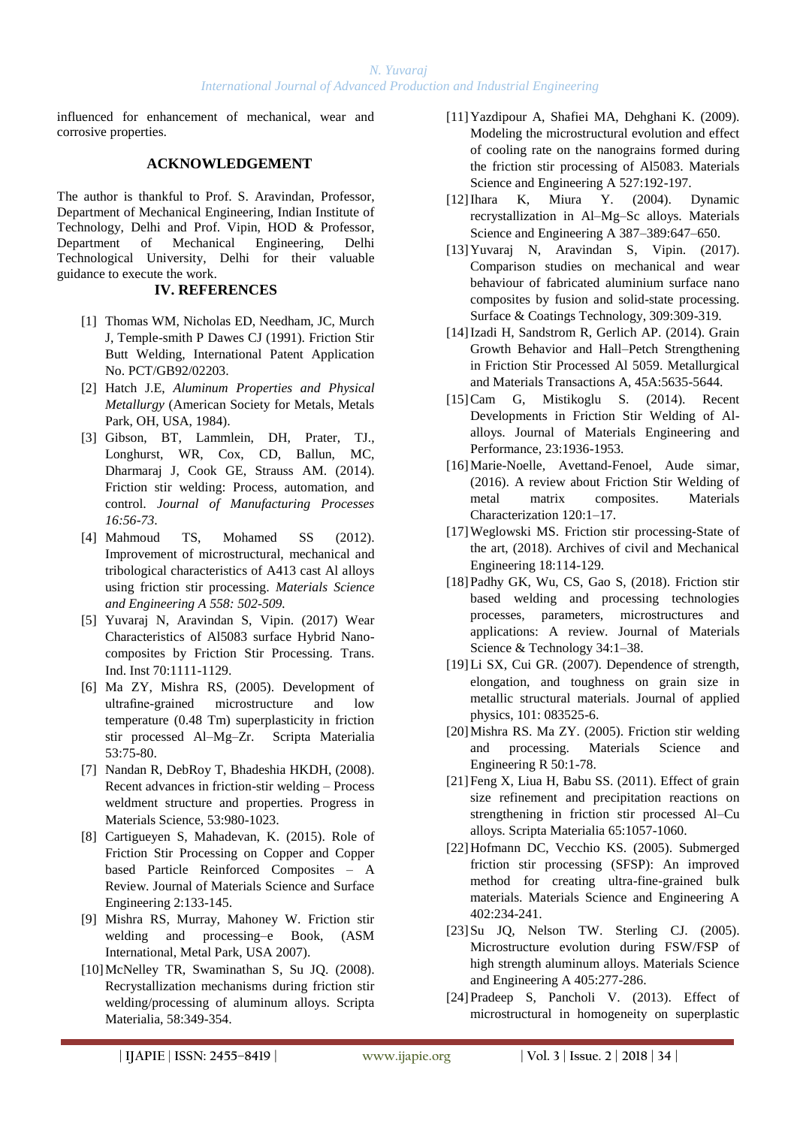influenced for enhancement of mechanical, wear and corrosive properties.

### **ACKNOWLEDGEMENT**

The author is thankful to Prof. S. Aravindan, Professor, Department of Mechanical Engineering, Indian Institute of Technology, Delhi and Prof. Vipin, HOD & Professor, Department of Mechanical Engineering, Delhi Technological University, Delhi for their valuable guidance to execute the work.

#### **IV. REFERENCES**

- [1] Thomas WM, Nicholas ED, Needham, JC, Murch J, Temple-smith P Dawes CJ (1991). Friction Stir Butt Welding, International Patent Application No. PCT/GB92/02203.
- [2] Hatch J.E, *Aluminum Properties and Physical Metallurgy* (American Society for Metals, Metals Park, OH, USA, 1984).
- [3] Gibson, BT, Lammlein, DH, Prater, TJ., Longhurst, WR, Cox, CD, Ballun, MC, Dharmaraj J, Cook GE, Strauss AM. (2014). Friction stir welding: Process, automation, and control. *Journal of Manufacturing Processes 16:56-73*.
- [4] Mahmoud TS, Mohamed SS (2012). Improvement of microstructural, mechanical and tribological characteristics of A413 cast Al alloys using friction stir processing. *Materials Science and Engineering A 558: 502-509.*
- [5] Yuvaraj N, Aravindan S, Vipin. (2017) Wear Characteristics of Al5083 surface Hybrid Nanocomposites by Friction Stir Processing. Trans. Ind. Inst 70:1111-1129.
- [6] Ma ZY, Mishra RS, (2005). Development of ultrafine-grained microstructure and low temperature (0.48 Tm) superplasticity in friction stir processed Al–Mg–Zr. Scripta Materialia 53:75-80.
- [7] Nandan R, DebRoy T, Bhadeshia HKDH, (2008). Recent advances in friction-stir welding – Process weldment structure and properties. Progress in Materials Science, 53:980-1023.
- [8] Cartigueyen S, Mahadevan, K. (2015). Role of Friction Stir Processing on Copper and Copper based Particle Reinforced Composites – A Review. Journal of Materials Science and Surface Engineering 2:133-145.
- [9] Mishra RS, Murray, Mahoney W. Friction stir welding and processing–e Book, (ASM International, Metal Park, USA 2007).
- [10]McNelley TR, Swaminathan S, Su JQ. (2008). Recrystallization mechanisms during friction stir welding/processing of aluminum alloys. Scripta Materialia, 58:349-354.
- [11]Yazdipour A, Shafiei MA, Dehghani K. (2009). Modeling the microstructural evolution and effect of cooling rate on the nanograins formed during the friction stir processing of Al5083. Materials Science and Engineering A 527:192-197.
- [12]Ihara K, Miura Y. (2004). Dynamic recrystallization in Al–Mg–Sc alloys. Materials Science and Engineering A 387–389:647–650.
- [13]Yuvaraj N, Aravindan S, Vipin. (2017). Comparison studies on mechanical and wear behaviour of fabricated aluminium surface nano composites by fusion and solid-state processing. Surface & Coatings Technology, 309:309-319.
- [14]Izadi H, Sandstrom R, Gerlich AP. (2014). Grain Growth Behavior and Hall–Petch Strengthening in Friction Stir Processed Al 5059. Metallurgical and Materials Transactions A, 45A:5635-5644.
- [15]Cam G, Mistikoglu S. (2014). Recent Developments in Friction Stir Welding of Alalloys. Journal of Materials Engineering and Performance, 23:1936-1953.
- [16] Marie-Noelle, Avettand-Fenoel, Aude simar, (2016). A review about Friction Stir Welding of metal matrix composites. Materials Characterization 120:1–17.
- [17]Weglowski MS. Friction stir processing-State of the art, (2018). Archives of civil and Mechanical Engineering 18:114-129.
- [18]Padhy GK, Wu, CS, Gao S, (2018). Friction stir based welding and processing technologies processes, parameters, microstructures and applications: A review. Journal of Materials Science & Technology 34:1–38.
- [19]Li SX, Cui GR. (2007). Dependence of strength, elongation, and toughness on grain size in metallic structural materials. Journal of applied physics, 101: 083525-6.
- [20]Mishra RS. Ma ZY. (2005). Friction stir welding and processing. Materials Science and Engineering R 50:1-78.
- [21]Feng X, Liua H, Babu SS. (2011). Effect of grain size refinement and precipitation reactions on strengthening in friction stir processed Al–Cu alloys. Scripta Materialia 65:1057-1060.
- [22]Hofmann DC, Vecchio KS. (2005). Submerged friction stir processing (SFSP): An improved method for creating ultra-fine-grained bulk materials. Materials Science and Engineering A 402:234-241.
- [23] Su JO, Nelson TW. Sterling CJ. (2005). Microstructure evolution during FSW/FSP of high strength aluminum alloys. Materials Science and Engineering A 405:277-286.
- [24]Pradeep S, Pancholi V. (2013). Effect of microstructural in homogeneity on superplastic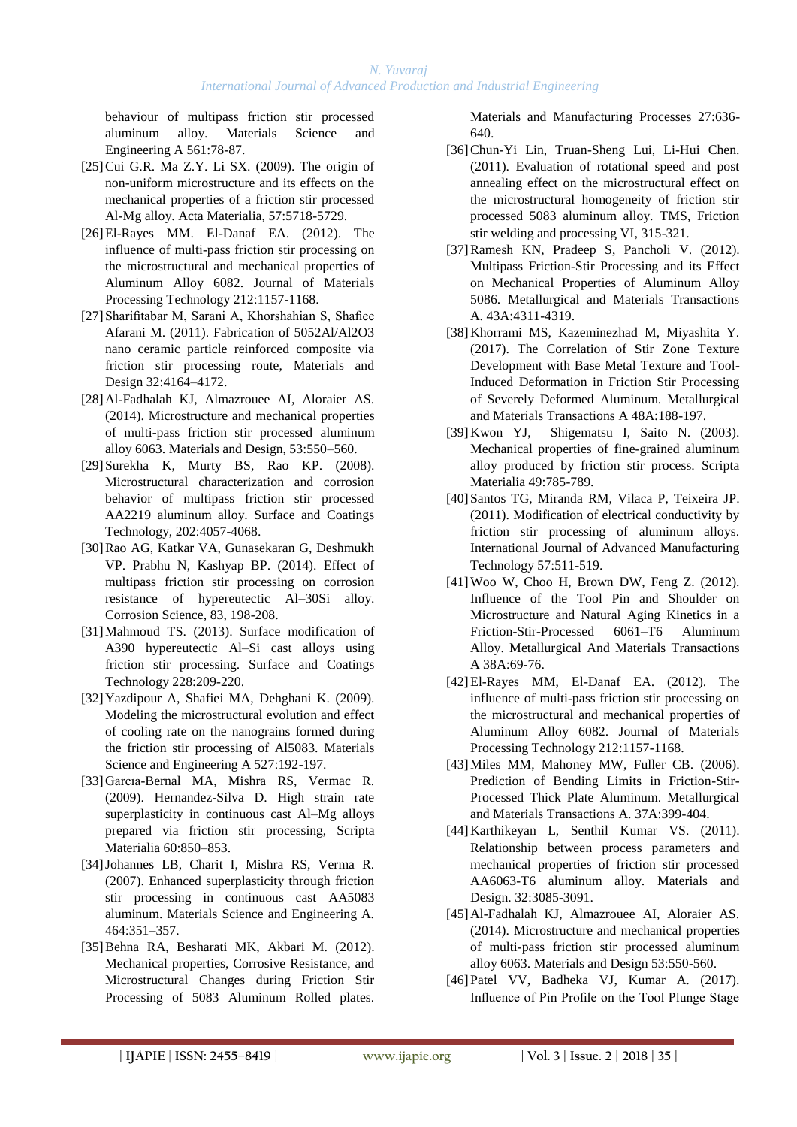behaviour of multipass friction stir processed aluminum alloy. Materials Science Engineering A 561:78-87.

- $[25]$ Cui G.R. Ma Z.Y. Li SX.  $(2009)$ . The origin of non-uniform microstructure and its effects on the mechanical properties of a friction stir processed Al-Mg alloy. Acta Materialia, 57:5718-5729.
- [26]El-Rayes MM. El-Danaf EA. (2012). The influence of multi-pass friction stir processing on the microstructural and mechanical properties of Aluminum Alloy 6082. Journal of Materials Processing Technology 212:1157-1168.
- [27]Sharifitabar M, Sarani A, Khorshahian S, Shafiee Afarani M. (2011). Fabrication of 5052Al/Al2O3 nano ceramic particle reinforced composite via friction stir processing route, Materials and Design 32:4164–4172.
- [28]Al-Fadhalah KJ, Almazrouee AI, Aloraier AS. (2014). Microstructure and mechanical properties of multi-pass friction stir processed aluminum alloy 6063. Materials and Design, 53:550–560.
- [29]Surekha K, Murty BS, Rao KP. (2008). Microstructural characterization and corrosion behavior of multipass friction stir processed AA2219 aluminum alloy. Surface and Coatings Technology, 202:4057-4068.
- [30]Rao AG, Katkar VA, Gunasekaran G, Deshmukh VP. Prabhu N, Kashyap BP. (2014). Effect of multipass friction stir processing on corrosion resistance of hypereutectic Al–30Si alloy. Corrosion Science, 83, 198-208.
- [31]Mahmoud TS. (2013). Surface modification of A390 hypereutectic Al–Si cast alloys using friction stir processing. Surface and Coatings Technology 228:209-220.
- [32]Yazdipour A, Shafiei MA, Dehghani K. (2009). Modeling the microstructural evolution and effect of cooling rate on the nanograins formed during the friction stir processing of Al5083. Materials Science and Engineering A 527:192-197.
- [33]Garcıa-Bernal MA, Mishra RS, Vermac R. (2009). Hernandez-Silva D. High strain rate superplasticity in continuous cast Al–Mg alloys prepared via friction stir processing, Scripta Materialia 60:850–853.
- [34]Johannes LB, Charit I, Mishra RS, Verma R. (2007). Enhanced superplasticity through friction stir processing in continuous cast AA5083 aluminum. Materials Science and Engineering A. 464:351–357.
- [35]Behna RA, Besharati MK, Akbari M. (2012). Mechanical properties, Corrosive Resistance, and Microstructural Changes during Friction Stir Processing of 5083 Aluminum Rolled plates.

Materials and Manufacturing Processes 27:636- 640.

- [36]Chun-Yi Lin, Truan-Sheng Lui, Li-Hui Chen. (2011). Evaluation of rotational speed and post annealing effect on the microstructural effect on the microstructural homogeneity of friction stir processed 5083 aluminum alloy. TMS, Friction stir welding and processing VI, 315-321.
- [37]Ramesh KN, Pradeep S, Pancholi V. (2012). Multipass Friction-Stir Processing and its Effect on Mechanical Properties of Aluminum Alloy 5086. Metallurgical and Materials Transactions A. 43A:4311-4319.
- [38]Khorrami MS, Kazeminezhad M, Miyashita Y. (2017). The Correlation of Stir Zone Texture Development with Base Metal Texture and Tool-Induced Deformation in Friction Stir Processing of Severely Deformed Aluminum. Metallurgical and Materials Transactions A 48A:188-197.
- [39]Kwon YJ, Shigematsu I, Saito N. (2003). Mechanical properties of fine-grained aluminum alloy produced by friction stir process. Scripta Materialia 49:785-789.
- [40]Santos TG, Miranda RM, Vilaca P, Teixeira JP. (2011). Modification of electrical conductivity by friction stir processing of aluminum alloys. International Journal of Advanced Manufacturing Technology 57:511-519.
- [41]Woo W, Choo H, Brown DW, Feng Z. (2012). Influence of the Tool Pin and Shoulder on Microstructure and Natural Aging Kinetics in a Friction-Stir-Processed 6061–T6 Aluminum Alloy. Metallurgical And Materials Transactions A 38A:69-76.
- [42]El-Rayes MM, El-Danaf EA. (2012). The influence of multi-pass friction stir processing on the microstructural and mechanical properties of Aluminum Alloy 6082. Journal of Materials Processing Technology 212:1157-1168.
- [43] Miles MM, Mahoney MW, Fuller CB. (2006). Prediction of Bending Limits in Friction-Stir-Processed Thick Plate Aluminum. Metallurgical and Materials Transactions A. 37A:399-404.
- [44]Karthikeyan L, Senthil Kumar VS. (2011). Relationship between process parameters and mechanical properties of friction stir processed AA6063-T6 aluminum alloy. Materials and Design. 32:3085-3091.
- [45]Al-Fadhalah KJ, Almazrouee AI, Aloraier AS. (2014). Microstructure and mechanical properties of multi-pass friction stir processed aluminum alloy 6063. Materials and Design 53:550-560.
- [46]Patel VV, Badheka VJ, Kumar A. (2017). Influence of Pin Profile on the Tool Plunge Stage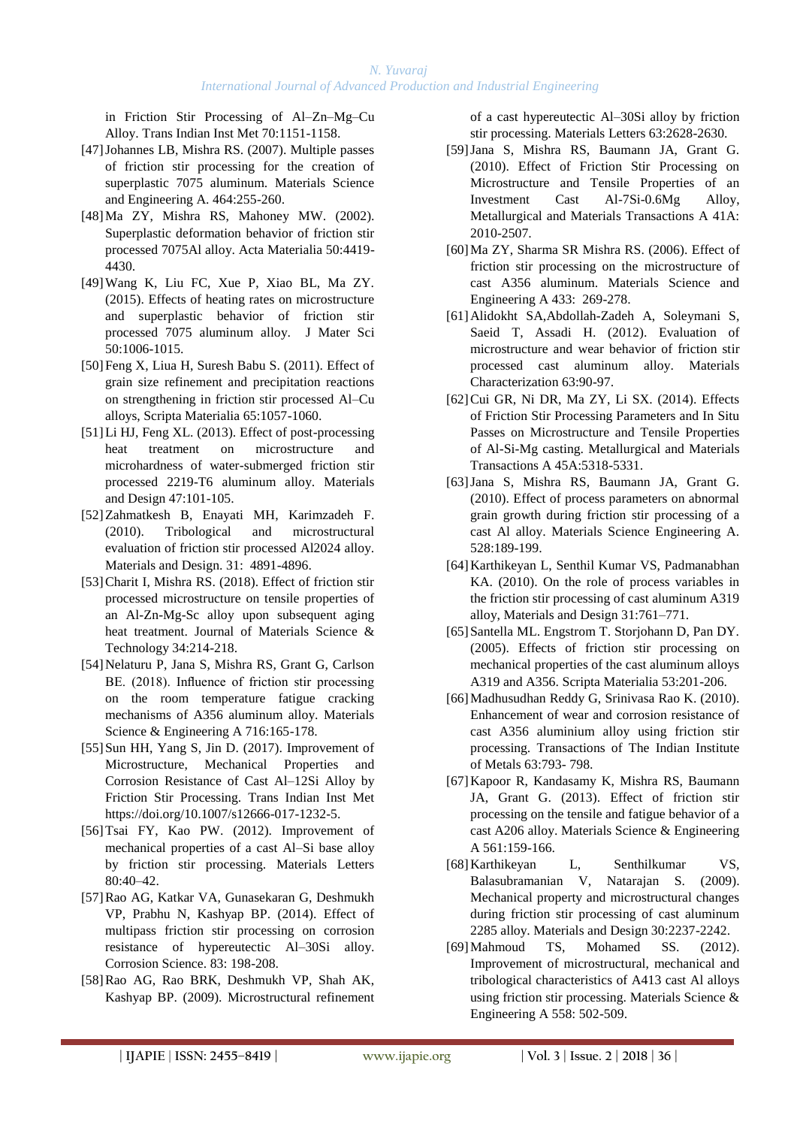in Friction Stir Processing of Al–Zn–Mg–Cu Alloy. Trans Indian Inst Met 70:1151-1158.

- [47]Johannes LB, Mishra RS. (2007). Multiple passes of friction stir processing for the creation of superplastic 7075 aluminum. Materials Science and Engineering A. 464:255-260.
- [48]Ma ZY, Mishra RS, Mahoney MW. (2002). Superplastic deformation behavior of friction stir processed 7075Al alloy. Acta Materialia 50:4419- 4430.
- [49]Wang K, Liu FC, Xue P, Xiao BL, Ma ZY. (2015). Effects of heating rates on microstructure and superplastic behavior of friction stir processed 7075 aluminum alloy. J Mater Sci 50:1006-1015.
- [50]Feng X, Liua H, Suresh Babu S. (2011). Effect of grain size refinement and precipitation reactions on strengthening in friction stir processed Al–Cu alloys, Scripta Materialia 65:1057-1060.
- [51]Li HJ, Feng XL. (2013). Effect of post-processing heat treatment on microstructure and microhardness of water-submerged friction stir processed 2219-T6 aluminum alloy. Materials and Design 47:101-105.
- [52]Zahmatkesh B, Enayati MH, Karimzadeh F. (2010). Tribological and microstructural evaluation of friction stir processed Al2024 alloy. Materials and Design. 31: 4891-4896.
- [53] Charit I, Mishra RS. (2018). Effect of friction stir processed microstructure on tensile properties of an Al-Zn-Mg-Sc alloy upon subsequent aging heat treatment. Journal of Materials Science & Technology 34:214-218.
- [54] Nelaturu P, Jana S, Mishra RS, Grant G, Carlson BE. (2018). Influence of friction stir processing on the room temperature fatigue cracking mechanisms of A356 aluminum alloy. Materials Science & Engineering A 716:165-178.
- [55]Sun HH, Yang S, Jin D. (2017). Improvement of Microstructure, Mechanical Properties and Corrosion Resistance of Cast Al–12Si Alloy by Friction Stir Processing. Trans Indian Inst Met https://doi.org/10.1007/s12666-017-1232-5.
- [56]Tsai FY, Kao PW. (2012). Improvement of mechanical properties of a cast Al–Si base alloy by friction stir processing. Materials Letters 80:40–42.
- [57]Rao AG, Katkar VA, Gunasekaran G, Deshmukh VP, Prabhu N, Kashyap BP. (2014). Effect of multipass friction stir processing on corrosion resistance of hypereutectic Al–30Si alloy. Corrosion Science. 83: 198-208.
- [58]Rao AG, Rao BRK, Deshmukh VP, Shah AK, Kashyap BP. (2009). Microstructural refinement

of a cast hypereutectic Al–30Si alloy by friction stir processing. Materials Letters 63:2628-2630.

- [59]Jana S, Mishra RS, Baumann JA, Grant G. (2010). Effect of Friction Stir Processing on Microstructure and Tensile Properties of an Investment Cast Al-7Si-0.6Mg Alloy, Metallurgical and Materials Transactions A 41A: 2010-2507.
- [60]Ma ZY, Sharma SR Mishra RS. (2006). Effect of friction stir processing on the microstructure of cast A356 aluminum. Materials Science and Engineering A 433: 269-278.
- [61]Alidokht SA,Abdollah-Zadeh A, Soleymani S, Saeid T, Assadi H. (2012). Evaluation of microstructure and wear behavior of friction stir processed cast aluminum alloy. Materials Characterization 63:90-97.
- [62]Cui GR, Ni DR, Ma ZY, Li SX. (2014). Effects of Friction Stir Processing Parameters and In Situ Passes on Microstructure and Tensile Properties of Al-Si-Mg casting. Metallurgical and Materials Transactions A 45A:5318-5331.
- [63]Jana S, Mishra RS, Baumann JA, Grant G. (2010). Effect of process parameters on abnormal grain growth during friction stir processing of a cast Al alloy. Materials Science Engineering A. 528:189-199.
- [64]Karthikeyan L, Senthil Kumar VS, Padmanabhan KA. (2010). On the role of process variables in the friction stir processing of cast aluminum A319 alloy, Materials and Design 31:761–771.
- [65]Santella ML. Engstrom T. Storjohann D, Pan DY. (2005). Effects of friction stir processing on mechanical properties of the cast aluminum alloys A319 and A356. Scripta Materialia 53:201-206.
- [66]Madhusudhan Reddy G, Srinivasa Rao K. (2010). Enhancement of wear and corrosion resistance of cast A356 aluminium alloy using friction stir processing. Transactions of The Indian Institute of Metals 63:793- 798.
- [67]Kapoor R, Kandasamy K, Mishra RS, Baumann JA, Grant G. (2013). Effect of friction stir processing on the tensile and fatigue behavior of a cast A206 alloy. Materials Science & Engineering A 561:159-166.
- [68]Karthikeyan L, Senthilkumar VS, Balasubramanian V, Natarajan S. (2009). Mechanical property and microstructural changes during friction stir processing of cast aluminum 2285 alloy. Materials and Design 30:2237-2242.
- [69]Mahmoud TS, Mohamed SS. (2012). Improvement of microstructural, mechanical and tribological characteristics of A413 cast Al alloys using friction stir processing. Materials Science & Engineering A 558: 502-509.